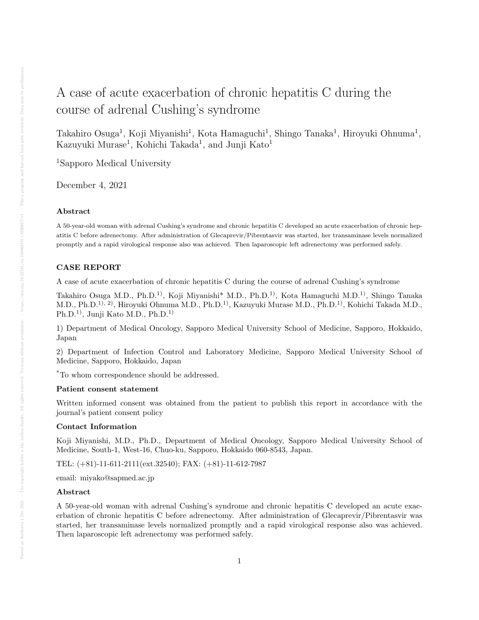# A case of acute exacerbation of chronic hepatitis C during the course of adrenal Cushing's syndrome

Takahiro Osuga<sup>1</sup>, Koji Miyanishi<sup>1</sup>, Kota Hamaguchi<sup>1</sup>, Shingo Tanaka<sup>1</sup>, Hiroyuki Ohnuma<sup>1</sup>, Kazuyuki Murase<sup>1</sup>, Kohichi Takada<sup>1</sup>, and Junji Kato<sup>1</sup>

<sup>1</sup>Sapporo Medical University

December 4, 2021

#### Abstract

A 50-year-old woman with adrenal Cushing's syndrome and chronic hepatitis C developed an acute exacerbation of chronic hepatitis C before adrenectomy. After administration of Glecaprevir/Pibrentasvir was started, her transaminase levels normalized promptly and a rapid virological response also was achieved. Then laparoscopic left adrenectomy was performed safely.

# CASE REPORT

A case of acute exacerbation of chronic hepatitis C during the course of adrenal Cushing's syndrome

Takahiro Osuga M.D., Ph.D.1), Koji Miyanishi\* M.D., Ph.D.1), Kota Hamaguchi M.D.1), Shingo Tanaka M.D., Ph.D.1), 2), Hiroyuki Ohnuma M.D., Ph.D.1), Kazuyuki Murase M.D., Ph.D.1), Kohichi Takada M.D., Ph.D.1), Junji Kato M.D., Ph.D.1)

1) Department of Medical Oncology, Sapporo Medical University School of Medicine, Sapporo, Hokkaido, Japan

2) Department of Infection Control and Laboratory Medicine, Sapporo Medical University School of Medicine, Sapporo, Hokkaido, Japan

\*To whom correspondence should be addressed.

## Patient consent statement

Written informed consent was obtained from the patient to publish this report in accordance with the journal's patient consent policy

### Contact Information

Koji Miyanishi, M.D., Ph.D., Department of Medical Oncology, Sapporo Medical University School of Medicine, South-1, West-16, Chuo-ku, Sapporo, Hokkaido 060-8543, Japan.

TEL: (+81)-11-611-2111(ext.32540); FAX: (+81)-11-612-7987

email: miyako@sapmed.ac.jp

#### Abstract

A 50-year-old woman with adrenal Cushing's syndrome and chronic hepatitis C developed an acute exacerbation of chronic hepatitis C before adrenectomy. After administration of Glecaprevir/Pibrentasvir was started, her transaminase levels normalized promptly and a rapid virological response also was achieved. Then laparoscopic left adrenectomy was performed safely.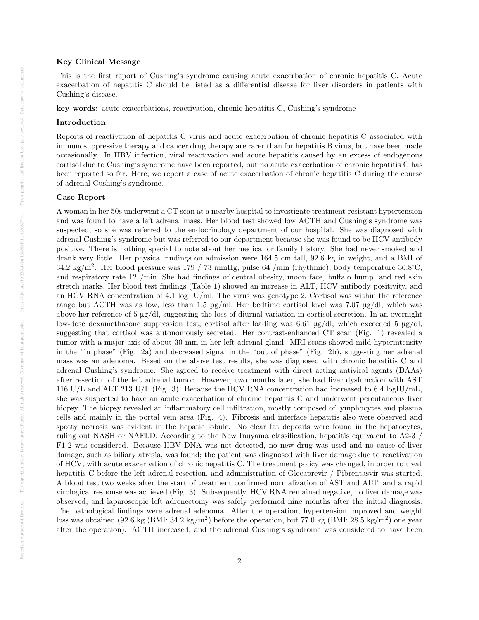#### Key Clinical Message

This is the first report of Cushing's syndrome causing acute exacerbation of chronic hepatitis C. Acute exacerbation of hepatitis C should be listed as a differential disease for liver disorders in patients with Cushing's disease.

key words: acute exacerbations, reactivation, chronic hepatitis C, Cushing's syndrome

#### Introduction

Reports of reactivation of hepatitis C virus and acute exacerbation of chronic hepatitis C associated with immunosuppressive therapy and cancer drug therapy are rarer than for hepatitis B virus, but have been made occasionally. In HBV infection, viral reactivation and acute hepatitis caused by an excess of endogenous cortisol due to Cushing's syndrome have been reported, but no acute exacerbation of chronic hepatitis C has been reported so far. Here, we report a case of acute exacerbation of chronic hepatitis C during the course of adrenal Cushing's syndrome.

## Case Report

A woman in her 50s underwent a CT scan at a nearby hospital to investigate treatment-resistant hypertension and was found to have a left adrenal mass. Her blood test showed low ACTH and Cushing's syndrome was suspected, so she was referred to the endocrinology department of our hospital. She was diagnosed with adrenal Cushing's syndrome but was referred to our department because she was found to be HCV antibody positive. There is nothing special to note about her medical or family history. She had never smoked and drank very little. Her physical findings on admission were 164.5 cm tall, 92.6 kg in weight, and a BMI of 34.2 kg/m<sup>2</sup>. Her blood pressure was 179 / 73 mmHg, pulse 64 /min (rhythmic), body temperature 36.8°C, and respiratory rate 12 /min. She had findings of central obesity, moon face, buffalo hump, and red skin stretch marks. Her blood test findings (Table 1) showed an increase in ALT, HCV antibody positivity, and an HCV RNA concentration of 4.1 log IU/ml. The virus was genotype 2. Cortisol was within the reference range but ACTH was as low, less than 1.5 pg/ml. Her bedtime cortisol level was 7.07 μg/dl, which was above her reference of 5 μg/dl, suggesting the loss of diurnal variation in cortisol secretion. In an overnight low-dose dexamethasone suppression test, cortisol after loading was 6.61 μg/dl, which exceeded 5 μg/dl, suggesting that cortisol was autonomously secreted. Her contrast-enhanced CT scan (Fig. 1) revealed a tumor with a major axis of about 30 mm in her left adrenal gland. MRI scans showed mild hyperintensity in the "in phase" (Fig. 2a) and decreased signal in the "out of phase" (Fig. 2b), suggesting her adrenal mass was an adenoma. Based on the above test results, she was diagnosed with chronic hepatitis C and adrenal Cushing's syndrome. She agreed to receive treatment with direct acting antiviral agents (DAAs) after resection of the left adrenal tumor. However, two months later, she had liver dysfunction with AST 116 U/L and ALT 213 U/L (Fig. 3). Because the HCV RNA concentration had increased to 6.4 logIU/mL, she was suspected to have an acute exacerbation of chronic hepatitis C and underwent percutaneous liver biopsy. The biopsy revealed an inflammatory cell infiltration, mostly composed of lymphocytes and plasma cells and mainly in the portal vein area (Fig. 4). Fibrosis and interface hepatitis also were observed and spotty necrosis was evident in the hepatic lobule. No clear fat deposits were found in the hepatocytes, ruling out NASH or NAFLD. According to the New Inuyama classification, hepatitis equivalent to A2-3 / F1-2 was considered. Because HBV DNA was not detected, no new drug was used and no cause of liver damage, such as biliary atresia, was found; the patient was diagnosed with liver damage due to reactivation of HCV, with acute exacerbation of chronic hepatitis C. The treatment policy was changed, in order to treat hepatitis C before the left adrenal resection, and administration of Glecaprevir / Pibrentasvir was started. A blood test two weeks after the start of treatment confirmed normalization of AST and ALT, and a rapid virological response was achieved (Fig. 3). Subsequently, HCV RNA remained negative, no liver damage was observed, and laparoscopic left adrenectomy was safely performed nine months after the initial diagnosis. The pathological findings were adrenal adenoma. After the operation, hypertension improved and weight loss was obtained (92.6 kg (BMI:  $34.2 \text{ kg/m}^2$ ) before the operation, but 77.0 kg (BMI:  $28.5 \text{ kg/m}^2$ ) one year after the operation). ACTH increased, and the adrenal Cushing's syndrome was considered to have been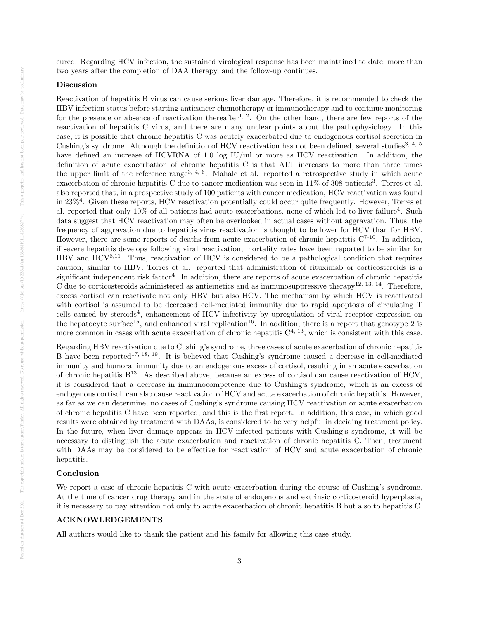cured. Regarding HCV infection, the sustained virological response has been maintained to date, more than two years after the completion of DAA therapy, and the follow-up continues.

## Discussion

Reactivation of hepatitis B virus can cause serious liver damage. Therefore, it is recommended to check the HBV infection status before starting anticancer chemotherapy or immunotherapy and to continue monitoring for the presence or absence of reactivation thereafter<sup>1, 2</sup>. On the other hand, there are few reports of the reactivation of hepatitis C virus, and there are many unclear points about the pathophysiology. In this case, it is possible that chronic hepatitis C was acutely exacerbated due to endogenous cortisol secretion in Cushing's syndrome. Although the definition of HCV reactivation has not been defined, several studies<sup>3, 4, 5</sup> have defined an increase of HCVRNA of 1.0 log IU/ml or more as HCV reactivation. In addition, the definition of acute exacerbation of chronic hepatitis C is that ALT increases to more than three times the upper limit of the reference range<sup>3, 4, 6</sup>. Mahale et al. reported a retrospective study in which acute exacerbation of chronic hepatitis C due to cancer medication was seen in  $11\%$  of 308 patients<sup>3</sup>. Torres et al. also reported that, in a prospective study of 100 patients with cancer medication, HCV reactivation was found in 23%<sup>4</sup>. Given these reports, HCV reactivation potentially could occur quite frequently. However, Torres et al. reported that only 10% of all patients had acute exacerbations, none of which led to liver failure<sup>4</sup>. Such data suggest that HCV reactivation may often be overlooked in actual cases without aggravation. Thus, the frequency of aggravation due to hepatitis virus reactivation is thought to be lower for HCV than for HBV. However, there are some reports of deaths from acute exacerbation of chronic hepatitis  $C^{7-10}$ . In addition, if severe hepatitis develops following viral reactivation, mortality rates have been reported to be similar for HBV and  $HCV^{8,11}$ . Thus, reactivation of HCV is considered to be a pathological condition that requires caution, similar to HBV. Torres et al. reported that administration of rituximab or corticosteroids is a significant independent risk factor<sup>4</sup>. In addition, there are reports of acute exacerbation of chronic hepatitis C due to corticosteroids administered as antiemetics and as immunosuppressive therapy<sup>12, 13, 14</sup>. Therefore, excess cortisol can reactivate not only HBV but also HCV. The mechanism by which HCV is reactivated with cortisol is assumed to be decreased cell-mediated immunity due to rapid apoptosis of circulating T cells caused by steroids<sup>4</sup>, enhancement of HCV infectivity by upregulation of viral receptor expression on the hepatocyte surface<sup>15</sup>, and enhanced viral replication<sup>16</sup>. In addition, there is a report that genotype 2 is more common in cases with acute exacerbation of chronic hepatitis  $C<sup>4, 13</sup>$ , which is consistent with this case.

Regarding HBV reactivation due to Cushing's syndrome, three cases of acute exacerbation of chronic hepatitis B have been reported<sup>17, 18, 19</sup>. It is believed that Cushing's syndrome caused a decrease in cell-mediated immunity and humoral immunity due to an endogenous excess of cortisol, resulting in an acute exacerbation of chronic hepatitis  $B^{13}$ . As described above, because an excess of cortisol can cause reactivation of HCV, it is considered that a decrease in immunocompetence due to Cushing's syndrome, which is an excess of endogenous cortisol, can also cause reactivation of HCV and acute exacerbation of chronic hepatitis. However, as far as we can determine, no cases of Cushing's syndrome causing HCV reactivation or acute exacerbation of chronic hepatitis C have been reported, and this is the first report. In addition, this case, in which good results were obtained by treatment with DAAs, is considered to be very helpful in deciding treatment policy. In the future, when liver damage appears in HCV-infected patients with Cushing's syndrome, it will be necessary to distinguish the acute exacerbation and reactivation of chronic hepatitis C. Then, treatment with DAAs may be considered to be effective for reactivation of HCV and acute exacerbation of chronic hepatitis.

## Conclusion

Posted on Authorea 4 Dec 2021 — The copyright holder is the author/funder. All rights reserved. No reuse

We report a case of chronic hepatitis C with acute exacerbation during the course of Cushing's syndrome. At the time of cancer drug therapy and in the state of endogenous and extrinsic corticosteroid hyperplasia, it is necessary to pay attention not only to acute exacerbation of chronic hepatitis B but also to hepatitis C.

## ACKNOWLEDGEMENTS

All authors would like to thank the patient and his family for allowing this case study.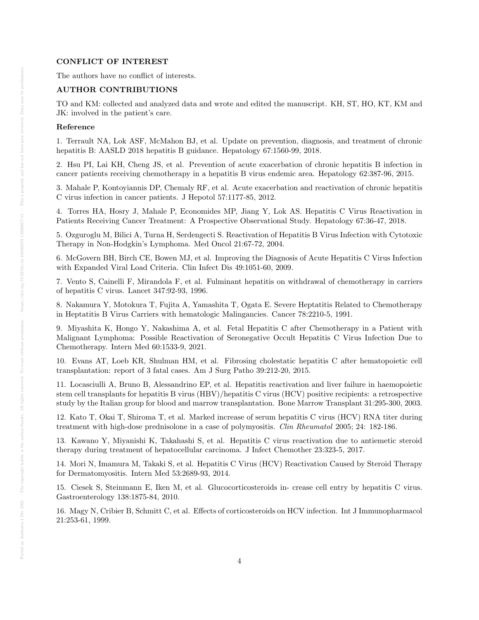## CONFLICT OF INTEREST

The authors have no conflict of interests.

# AUTHOR CONTRIBUTIONS

TO and KM: collected and analyzed data and wrote and edited the manuscript. KH, ST, HO, KT, KM and JK: involved in the patient's care.

#### Reference

1. Terrault NA, Lok ASF, McMahon BJ, et al. Update on prevention, diagnosis, and treatment of chronic hepatitis B: AASLD 2018 hepatitis B guidance. Hepatology 67:1560-99, 2018.

2. Hsu PI, Lai KH, Cheng JS, et al. Prevention of acute exacerbation of chronic hepatitis B infection in cancer patients receiving chemotherapy in a hepatitis B virus endemic area. Hepatology 62:387-96, 2015.

3. Mahale P, Kontoyiannis DP, Chemaly RF, et al. Acute exacerbation and reactivation of chronic hepatitis C virus infection in cancer patients. J Hepotol 57:1177-85, 2012.

4. Torres HA, Hosry J, Mahale P, Economides MP, Jiang Y, Lok AS. Hepatitis C Virus Reactivation in Patients Receiving Cancer Treatment: A Prospective Observational Study. Hepatology 67:36-47, 2018.

5. Ozguroglu M, Bilici A, Turna H, Serdengecti S. Reactivation of Hepatitis B Virus Infection with Cytotoxic Therapy in Non-Hodgkin's Lymphoma. Med Oncol 21:67-72, 2004.

6. McGovern BH, Birch CE, Bowen MJ, et al. Improving the Diagnosis of Acute Hepatitis C Virus Infection with Expanded Viral Load Criteria. Clin Infect Dis 49:1051-60, 2009.

7. Vento S, Cainelli F, Mirandola F, et al. Fulminant hepatitis on withdrawal of chemotherapy in carriers of hepatitis C virus. Lancet 347:92-93, 1996.

8. Nakamura Y, Motokura T, Fujita A, Yamashita T, Ogata E. Severe Heptatitis Related to Chemotherapy in Heptatitis B Virus Carriers with hematologic Malingancies. Cancer 78:2210-5, 1991.

9. Miyashita K, Hongo Y, Nakashima A, et al. Fetal Hepatitis C after Chemotherapy in a Patient with Malignant Lymphoma: Possible Reactivation of Seronegative Occult Hepatitis C Virus Infection Due to Chemotherapy. Intern Med 60:1533-9, 2021.

10. Evans AT, Loeb KR, Shulman HM, et al. Fibrosing cholestatic hepatitis C after hematopoietic cell transplantation: report of 3 fatal cases. Am J Surg Patho 39:212-20, 2015.

11. Locasciulli A, Bruno B, Alessandrino EP, et al. Hepatitis reactivation and liver failure in haemopoietic stem cell transplants for hepatitis B virus (HBV)/hepatitis C virus (HCV) positive recipients: a retrospective study by the Italian group for blood and marrow transplantation. Bone Marrow Transplant 31:295-300, 2003.

12. Kato T, Okai T, Shiroma T, et al. Marked increase of serum hepatitis C virus (HCV) RNA titer during treatment with high-dose prednisolone in a case of polymyositis. Clin Rheumatol 2005; 24: 182-186.

13. Kawano Y, Miyanishi K, Takahashi S, et al. Hepatitis C virus reactivation due to antiemetic steroid therapy during treatment of hepatocellular carcinoma. J Infect Chemother 23:323-5, 2017.

14. Mori N, Imamura M, Takaki S, et al. Hepatitis C Virus (HCV) Reactivation Caused by Steroid Therapy for Dermatomyositis. Intern Med 53:2689-93, 2014.

15. Ciesek S, Steinmann E, Iken M, et al. Glucocorticosteroids in- crease cell entry by hepatitis C virus. Gastroenterology 138:1875-84, 2010.

16. Magy N, Cribier B, Schmitt C, et al. Effects of corticosteroids on HCV infection. Int J Immunopharmacol 21:253-61, 1999.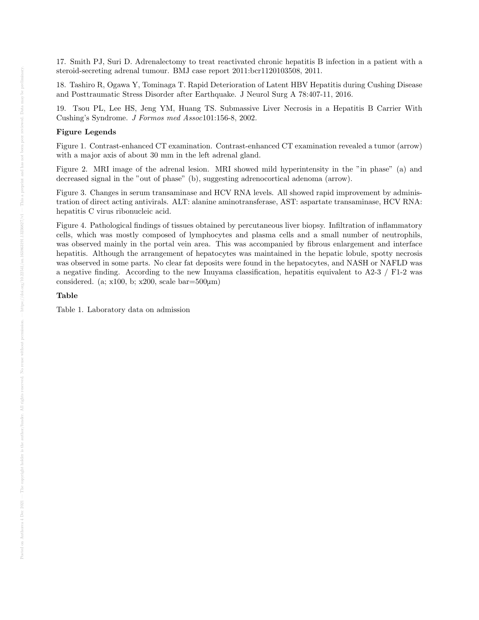17. Smith PJ, Suri D. Adrenalectomy to treat reactivated chronic hepatitis B infection in a patient with a steroid-secreting adrenal tumour. BMJ case report 2011:bcr1120103508, 2011.

18. Tashiro R, Ogawa Y, Tominaga T. Rapid Deterioration of Latent HBV Hepatitis during Cushing Disease and Posttraumatic Stress Disorder after Earthquake. J Neurol Surg A 78:407-11, 2016.

19. Tsou PL, Lee HS, Jeng YM, Huang TS. Submassive Liver Necrosis in a Hepatitis B Carrier With Cushing's Syndrome. J Formos med Assoc101:156-8, 2002.

#### Figure Legends

Figure 1. Contrast-enhanced CT examination. Contrast-enhanced CT examination revealed a tumor (arrow) with a major axis of about 30 mm in the left adrenal gland.

Figure 2. MRI image of the adrenal lesion. MRI showed mild hyperintensity in the "in phase" (a) and decreased signal in the "out of phase" (b), suggesting adrenocortical adenoma (arrow).

Figure 3. Changes in serum transaminase and HCV RNA levels. All showed rapid improvement by administration of direct acting antivirals. ALT: alanine aminotransferase, AST: aspartate transaminase, HCV RNA: hepatitis C virus ribonucleic acid.

Figure 4. Pathological findings of tissues obtained by percutaneous liver biopsy. Infiltration of inflammatory cells, which was mostly composed of lymphocytes and plasma cells and a small number of neutrophils, was observed mainly in the portal vein area. This was accompanied by fibrous enlargement and interface hepatitis. Although the arrangement of hepatocytes was maintained in the hepatic lobule, spotty necrosis was observed in some parts. No clear fat deposits were found in the hepatocytes, and NASH or NAFLD was a negative finding. According to the new Inuyama classification, hepatitis equivalent to A2-3 / F1-2 was considered. (a;  $x100$ , b;  $x200$ , scale bar=500 $\mu$ m)

#### Table

Table 1. Laboratory data on admission